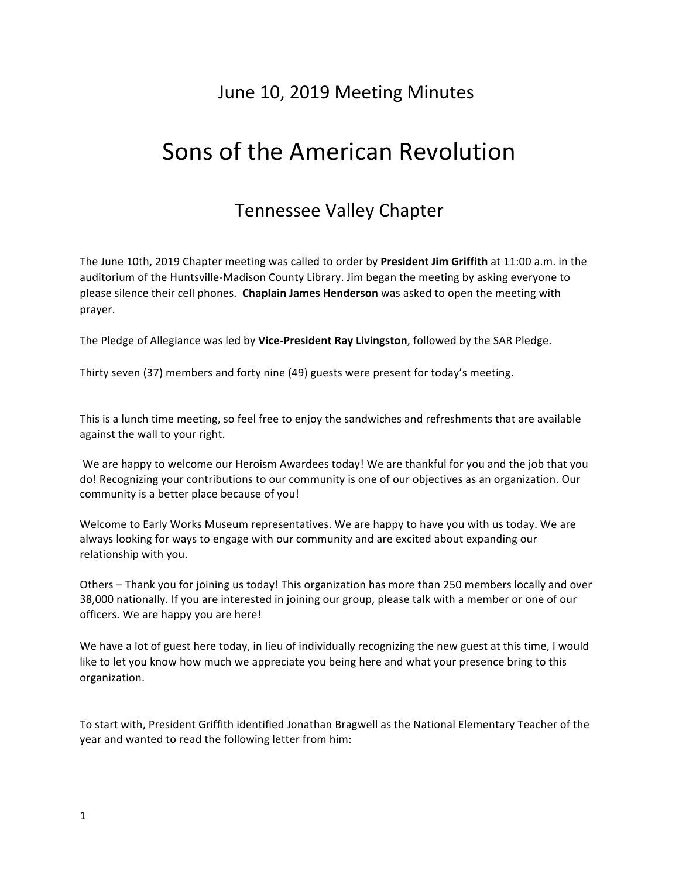## June 10, 2019 Meeting Minutes

# Sons of the American Revolution

## Tennessee Valley Chapter

The June 10th, 2019 Chapter meeting was called to order by President Jim Griffith at 11:00 a.m. in the auditorium of the Huntsville-Madison County Library. Jim began the meeting by asking everyone to please silence their cell phones. Chaplain James Henderson was asked to open the meeting with prayer. 

The Pledge of Allegiance was led by Vice-President Ray Livingston, followed by the SAR Pledge.

Thirty seven (37) members and forty nine (49) guests were present for today's meeting.

This is a lunch time meeting, so feel free to enjoy the sandwiches and refreshments that are available against the wall to your right.

We are happy to welcome our Heroism Awardees today! We are thankful for you and the job that you do! Recognizing your contributions to our community is one of our objectives as an organization. Our community is a better place because of you!

Welcome to Early Works Museum representatives. We are happy to have you with us today. We are always looking for ways to engage with our community and are excited about expanding our relationship with you.

Others – Thank you for joining us today! This organization has more than 250 members locally and over 38,000 nationally. If you are interested in joining our group, please talk with a member or one of our officers. We are happy you are here!

We have a lot of guest here today, in lieu of individually recognizing the new guest at this time, I would like to let you know how much we appreciate you being here and what your presence bring to this organization.

To start with, President Griffith identified Jonathan Bragwell as the National Elementary Teacher of the year and wanted to read the following letter from him: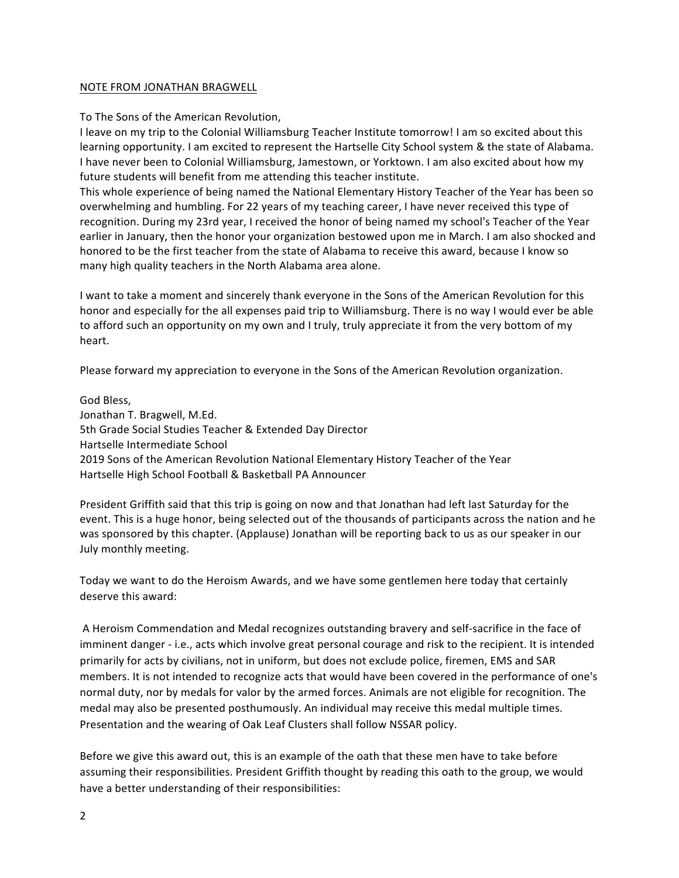#### NOTE FROM JONATHAN BRAGWELL

To The Sons of the American Revolution,

I leave on my trip to the Colonial Williamsburg Teacher Institute tomorrow! I am so excited about this learning opportunity. I am excited to represent the Hartselle City School system & the state of Alabama. I have never been to Colonial Williamsburg, Jamestown, or Yorktown. I am also excited about how my future students will benefit from me attending this teacher institute.

This whole experience of being named the National Elementary History Teacher of the Year has been so overwhelming and humbling. For 22 years of my teaching career, I have never received this type of recognition. During my 23rd year, I received the honor of being named my school's Teacher of the Year earlier in January, then the honor your organization bestowed upon me in March. I am also shocked and honored to be the first teacher from the state of Alabama to receive this award, because I know so many high quality teachers in the North Alabama area alone.

I want to take a moment and sincerely thank everyone in the Sons of the American Revolution for this honor and especially for the all expenses paid trip to Williamsburg. There is no way I would ever be able to afford such an opportunity on my own and I truly, truly appreciate it from the very bottom of my heart.

Please forward my appreciation to everyone in the Sons of the American Revolution organization.

God Bless, Jonathan T. Bragwell, M.Ed. 5th Grade Social Studies Teacher & Extended Day Director Hartselle Intermediate School 2019 Sons of the American Revolution National Elementary History Teacher of the Year Hartselle High School Football & Basketball PA Announcer

President Griffith said that this trip is going on now and that Jonathan had left last Saturday for the event. This is a huge honor, being selected out of the thousands of participants across the nation and he was sponsored by this chapter. (Applause) Jonathan will be reporting back to us as our speaker in our July monthly meeting.

Today we want to do the Heroism Awards, and we have some gentlemen here today that certainly deserve this award:

A Heroism Commendation and Medal recognizes outstanding bravery and self-sacrifice in the face of imminent danger - i.e., acts which involve great personal courage and risk to the recipient. It is intended primarily for acts by civilians, not in uniform, but does not exclude police, firemen, EMS and SAR members. It is not intended to recognize acts that would have been covered in the performance of one's normal duty, nor by medals for valor by the armed forces. Animals are not eligible for recognition. The medal may also be presented posthumously. An individual may receive this medal multiple times. Presentation and the wearing of Oak Leaf Clusters shall follow NSSAR policy.

Before we give this award out, this is an example of the oath that these men have to take before assuming their responsibilities. President Griffith thought by reading this oath to the group, we would have a better understanding of their responsibilities: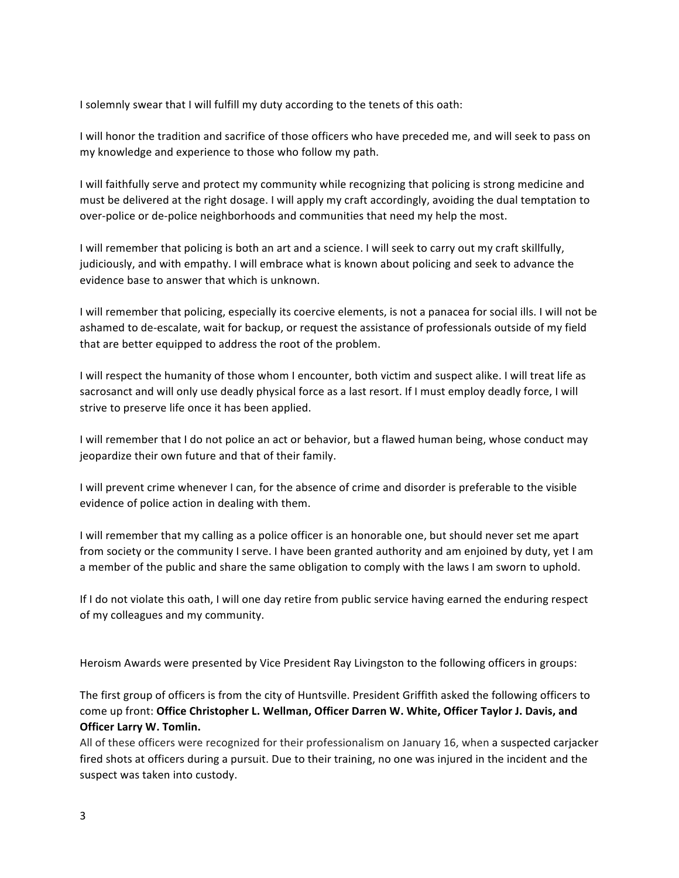I solemnly swear that I will fulfill my duty according to the tenets of this oath:

I will honor the tradition and sacrifice of those officers who have preceded me, and will seek to pass on my knowledge and experience to those who follow my path.

I will faithfully serve and protect my community while recognizing that policing is strong medicine and must be delivered at the right dosage. I will apply my craft accordingly, avoiding the dual temptation to over-police or de-police neighborhoods and communities that need my help the most.

I will remember that policing is both an art and a science. I will seek to carry out my craft skillfully, judiciously, and with empathy. I will embrace what is known about policing and seek to advance the evidence base to answer that which is unknown.

I will remember that policing, especially its coercive elements, is not a panacea for social ills. I will not be ashamed to de-escalate, wait for backup, or request the assistance of professionals outside of my field that are better equipped to address the root of the problem.

I will respect the humanity of those whom I encounter, both victim and suspect alike. I will treat life as sacrosanct and will only use deadly physical force as a last resort. If I must employ deadly force, I will strive to preserve life once it has been applied.

I will remember that I do not police an act or behavior, but a flawed human being, whose conduct may jeopardize their own future and that of their family.

I will prevent crime whenever I can, for the absence of crime and disorder is preferable to the visible evidence of police action in dealing with them.

I will remember that my calling as a police officer is an honorable one, but should never set me apart from society or the community I serve. I have been granted authority and am enjoined by duty, yet I am a member of the public and share the same obligation to comply with the laws I am sworn to uphold.

If I do not violate this oath, I will one day retire from public service having earned the enduring respect of my colleagues and my community.

Heroism Awards were presented by Vice President Ray Livingston to the following officers in groups:

The first group of officers is from the city of Huntsville. President Griffith asked the following officers to come up front: Office Christopher L. Wellman, Officer Darren W. White, Officer Taylor J. Davis, and **Officer Larry W. Tomlin.** 

All of these officers were recognized for their professionalism on January 16, when a suspected carjacker fired shots at officers during a pursuit. Due to their training, no one was injured in the incident and the suspect was taken into custody.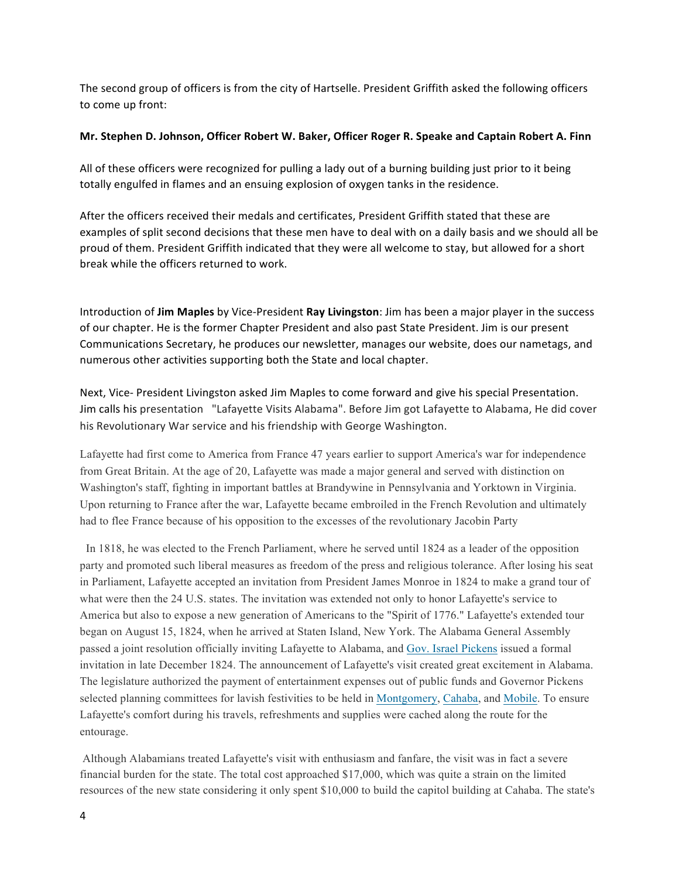The second group of officers is from the city of Hartselle. President Griffith asked the following officers to come up front:

#### **Mr. Stephen D. Johnson, Officer Robert W. Baker, Officer Roger R. Speake and Captain Robert A. Finn**

All of these officers were recognized for pulling a lady out of a burning building just prior to it being totally engulfed in flames and an ensuing explosion of oxygen tanks in the residence.

After the officers received their medals and certificates, President Griffith stated that these are examples of split second decisions that these men have to deal with on a daily basis and we should all be proud of them. President Griffith indicated that they were all welcome to stay, but allowed for a short break while the officers returned to work.

Introduction of **Jim Maples** by Vice-President **Ray Livingston**: Jim has been a major player in the success of our chapter. He is the former Chapter President and also past State President. Jim is our present Communications Secretary, he produces our newsletter, manages our website, does our nametags, and numerous other activities supporting both the State and local chapter.

Next, Vice- President Livingston asked Jim Maples to come forward and give his special Presentation. Jim calls his presentation "Lafayette Visits Alabama". Before Jim got Lafayette to Alabama, He did cover his Revolutionary War service and his friendship with George Washington.

Lafayette had first come to America from France 47 years earlier to support America's war for independence from Great Britain. At the age of 20, Lafayette was made a major general and served with distinction on Washington's staff, fighting in important battles at Brandywine in Pennsylvania and Yorktown in Virginia. Upon returning to France after the war, Lafayette became embroiled in the French Revolution and ultimately had to flee France because of his opposition to the excesses of the revolutionary Jacobin Party

 In 1818, he was elected to the French Parliament, where he served until 1824 as a leader of the opposition party and promoted such liberal measures as freedom of the press and religious tolerance. After losing his seat in Parliament, Lafayette accepted an invitation from President James Monroe in 1824 to make a grand tour of what were then the 24 U.S. states. The invitation was extended not only to honor Lafayette's service to America but also to expose a new generation of Americans to the "Spirit of 1776." Lafayette's extended tour began on August 15, 1824, when he arrived at Staten Island, New York. The Alabama General Assembly passed a joint resolution officially inviting Lafayette to Alabama, and Gov. Israel Pickens issued a formal invitation in late December 1824. The announcement of Lafayette's visit created great excitement in Alabama. The legislature authorized the payment of entertainment expenses out of public funds and Governor Pickens selected planning committees for lavish festivities to be held in Montgomery, Cahaba, and Mobile. To ensure Lafayette's comfort during his travels, refreshments and supplies were cached along the route for the entourage.

Although Alabamians treated Lafayette's visit with enthusiasm and fanfare, the visit was in fact a severe financial burden for the state. The total cost approached \$17,000, which was quite a strain on the limited resources of the new state considering it only spent \$10,000 to build the capitol building at Cahaba. The state's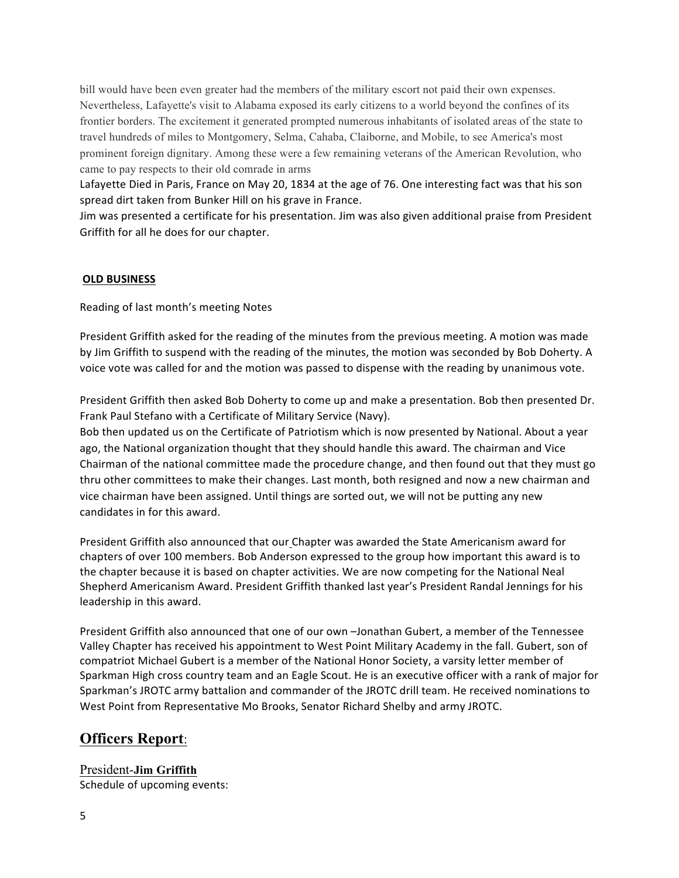bill would have been even greater had the members of the military escort not paid their own expenses. Nevertheless, Lafayette's visit to Alabama exposed its early citizens to a world beyond the confines of its frontier borders. The excitement it generated prompted numerous inhabitants of isolated areas of the state to travel hundreds of miles to Montgomery, Selma, Cahaba, Claiborne, and Mobile, to see America's most prominent foreign dignitary. Among these were a few remaining veterans of the American Revolution, who came to pay respects to their old comrade in arms

Lafayette Died in Paris, France on May 20, 1834 at the age of 76. One interesting fact was that his son spread dirt taken from Bunker Hill on his grave in France.

Jim was presented a certificate for his presentation. Jim was also given additional praise from President Griffith for all he does for our chapter.

#### **OLD BUSINESS**

Reading of last month's meeting Notes

President Griffith asked for the reading of the minutes from the previous meeting. A motion was made by Jim Griffith to suspend with the reading of the minutes, the motion was seconded by Bob Doherty. A voice vote was called for and the motion was passed to dispense with the reading by unanimous vote.

President Griffith then asked Bob Doherty to come up and make a presentation. Bob then presented Dr. Frank Paul Stefano with a Certificate of Military Service (Navy).

Bob then updated us on the Certificate of Patriotism which is now presented by National. About a year ago, the National organization thought that they should handle this award. The chairman and Vice Chairman of the national committee made the procedure change, and then found out that they must go thru other committees to make their changes. Last month, both resigned and now a new chairman and vice chairman have been assigned. Until things are sorted out, we will not be putting any new candidates in for this award.

President Griffith also announced that our Chapter was awarded the State Americanism award for chapters of over 100 members. Bob Anderson expressed to the group how important this award is to the chapter because it is based on chapter activities. We are now competing for the National Neal Shepherd Americanism Award. President Griffith thanked last year's President Randal Jennings for his leadership in this award.

President Griffith also announced that one of our own -Jonathan Gubert, a member of the Tennessee Valley Chapter has received his appointment to West Point Military Academy in the fall. Gubert, son of compatriot Michael Gubert is a member of the National Honor Society, a varsity letter member of Sparkman High cross country team and an Eagle Scout. He is an executive officer with a rank of major for Sparkman's JROTC army battalion and commander of the JROTC drill team. He received nominations to West Point from Representative Mo Brooks, Senator Richard Shelby and army JROTC.

## **Officers Report**:

President-**Jim Griffith** Schedule of upcoming events: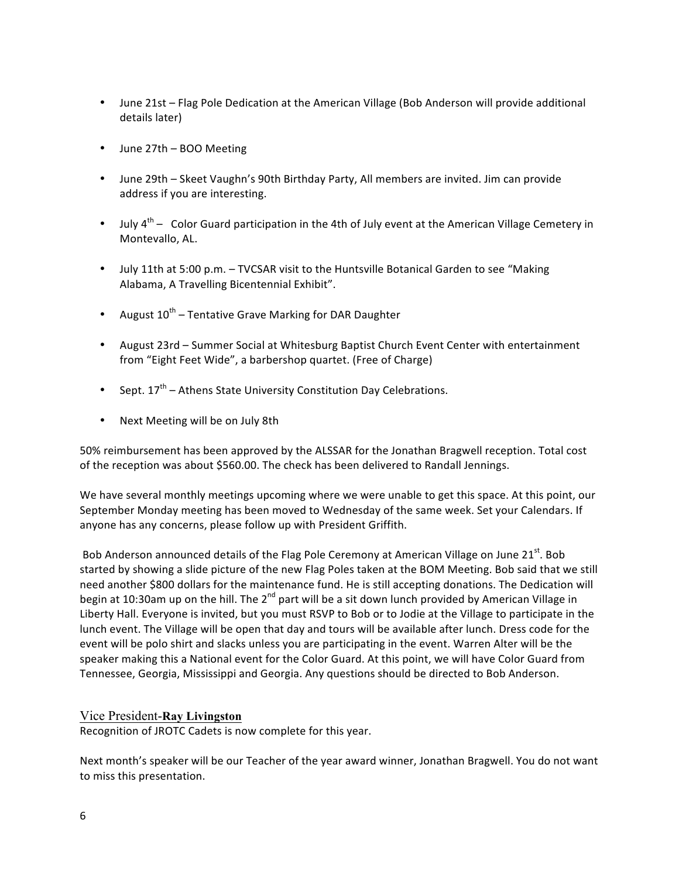- June 21st Flag Pole Dedication at the American Village (Bob Anderson will provide additional details later)
- June 27th BOO Meeting
- June 29th Skeet Vaughn's 90th Birthday Party, All members are invited. Jim can provide address if you are interesting.
- July  $4^{th}$  Color Guard participation in the 4th of July event at the American Village Cemetery in Montevallo, AL.
- July 11th at 5:00 p.m. TVCSAR visit to the Huntsville Botanical Garden to see "Making" Alabama, A Travelling Bicentennial Exhibit".
- August  $10^{th}$  Tentative Grave Marking for DAR Daughter
- August 23rd Summer Social at Whitesburg Baptist Church Event Center with entertainment from "Eight Feet Wide", a barbershop quartet. (Free of Charge)
- Sept.  $17^{th}$  Athens State University Constitution Day Celebrations.
- Next Meeting will be on July 8th

50% reimbursement has been approved by the ALSSAR for the Jonathan Bragwell reception. Total cost of the reception was about \$560.00. The check has been delivered to Randall Jennings.

We have several monthly meetings upcoming where we were unable to get this space. At this point, our September Monday meeting has been moved to Wednesday of the same week. Set your Calendars. If anyone has any concerns, please follow up with President Griffith.

Bob Anderson announced details of the Flag Pole Ceremony at American Village on June 21st. Bob started by showing a slide picture of the new Flag Poles taken at the BOM Meeting. Bob said that we still need another \$800 dollars for the maintenance fund. He is still accepting donations. The Dedication will begin at 10:30am up on the hill. The  $2^{nd}$  part will be a sit down lunch provided by American Village in Liberty Hall. Everyone is invited, but you must RSVP to Bob or to Jodie at the Village to participate in the lunch event. The Village will be open that day and tours will be available after lunch. Dress code for the event will be polo shirt and slacks unless you are participating in the event. Warren Alter will be the speaker making this a National event for the Color Guard. At this point, we will have Color Guard from Tennessee, Georgia, Mississippi and Georgia. Any questions should be directed to Bob Anderson.

#### Vice President-**Ray Livingston**

Recognition of JROTC Cadets is now complete for this year.

Next month's speaker will be our Teacher of the year award winner, Jonathan Bragwell. You do not want to miss this presentation.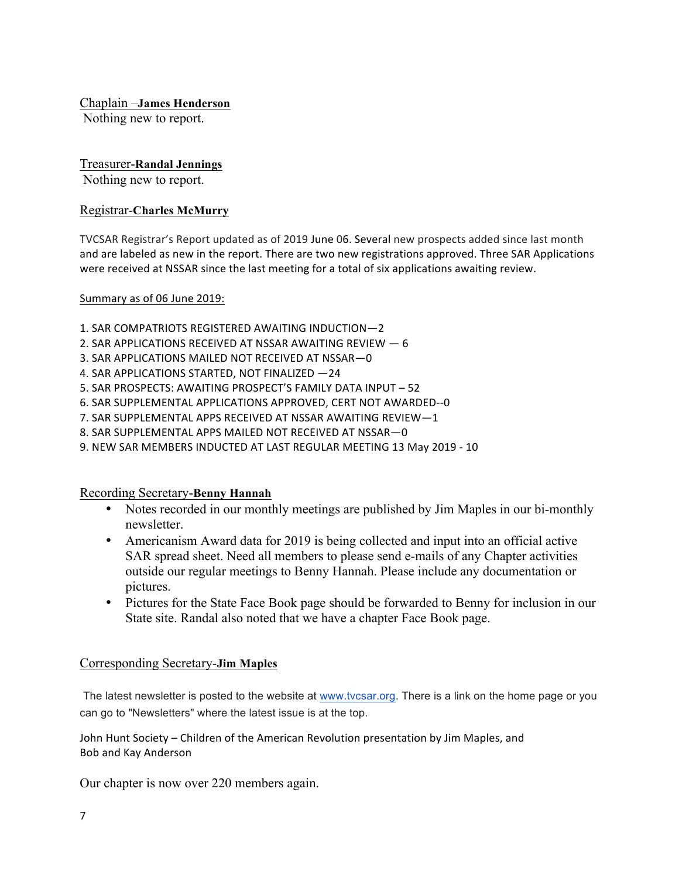Chaplain –**James Henderson**

Nothing new to report.

## Treasurer-**Randal Jennings**

Nothing new to report.

## Registrar-**Charles McMurry**

TVCSAR Registrar's Report updated as of 2019 June 06. Several new prospects added since last month and are labeled as new in the report. There are two new registrations approved. Three SAR Applications were received at NSSAR since the last meeting for a total of six applications awaiting review.

### Summary as of 06 June 2019:

- 1. SAR COMPATRIOTS REGISTERED AWAITING INDUCTION-2
- 2. SAR APPLICATIONS RECEIVED AT NSSAR AWAITING REVIEW  $-6$
- 3. SAR APPLICATIONS MAILED NOT RECEIVED AT NSSAR-0
- 4. SAR APPLICATIONS STARTED, NOT FINALIZED -24
- 5. SAR PROSPECTS: AWAITING PROSPECT'S FAMILY DATA INPUT 52
- 6. SAR SUPPLEMENTAL APPLICATIONS APPROVED, CERT NOT AWARDED--0
- 7. SAR SUPPLEMENTAL APPS RECEIVED AT NSSAR AWAITING REVIEW-1
- 8. SAR SUPPLEMENTAL APPS MAILED NOT RECEIVED AT NSSAR-0
- 9. NEW SAR MEMBERS INDUCTED AT LAST REGULAR MEETING 13 May 2019 10

### Recording Secretary-**Benny Hannah**

- Notes recorded in our monthly meetings are published by Jim Maples in our bi-monthly newsletter.
- Americanism Award data for 2019 is being collected and input into an official active SAR spread sheet. Need all members to please send e-mails of any Chapter activities outside our regular meetings to Benny Hannah. Please include any documentation or pictures.
- Pictures for the State Face Book page should be forwarded to Benny for inclusion in our State site. Randal also noted that we have a chapter Face Book page.

## Corresponding Secretary-**Jim Maples**

The latest newsletter is posted to the website at www.tvcsar.org. There is a link on the home page or you can go to "Newsletters" where the latest issue is at the top.

John Hunt Society - Children of the American Revolution presentation by Jim Maples, and Bob and Kay Anderson

Our chapter is now over 220 members again.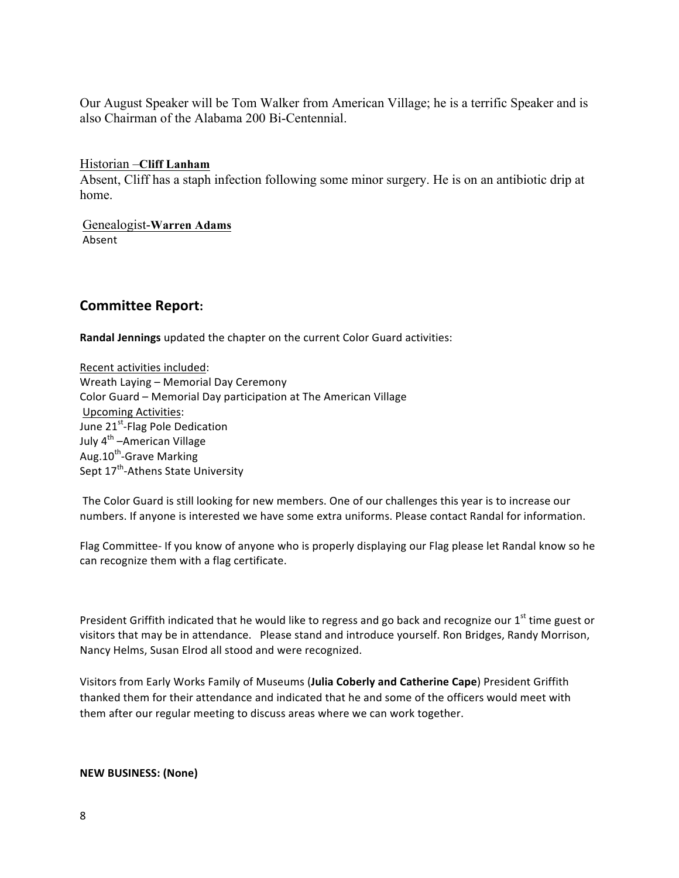Our August Speaker will be Tom Walker from American Village; he is a terrific Speaker and is also Chairman of the Alabama 200 Bi-Centennial.

Historian –**Cliff Lanham** Absent, Cliff has a staph infection following some minor surgery. He is on an antibiotic drip at home.

Genealogist-**Warren Adams** Absent

## **Committee Report:**

**Randal Jennings** updated the chapter on the current Color Guard activities:

Recent activities included: Wreath Laying - Memorial Day Ceremony Color Guard - Memorial Day participation at The American Village Upcoming Activities: June 21<sup>st</sup>-Flag Pole Dedication July 4<sup>th</sup> –American Village Aug.10<sup>th</sup>-Grave Marking Sept 17<sup>th</sup>-Athens State University

The Color Guard is still looking for new members. One of our challenges this year is to increase our numbers. If anyone is interested we have some extra uniforms. Please contact Randal for information.

Flag Committee- If you know of anyone who is properly displaying our Flag please let Randal know so he can recognize them with a flag certificate.

President Griffith indicated that he would like to regress and go back and recognize our  $1<sup>st</sup>$  time guest or visitors that may be in attendance. Please stand and introduce yourself. Ron Bridges, Randy Morrison, Nancy Helms, Susan Elrod all stood and were recognized.

Visitors from Early Works Family of Museums (**Julia Coberly and Catherine Cape**) President Griffith thanked them for their attendance and indicated that he and some of the officers would meet with them after our regular meeting to discuss areas where we can work together.

#### **NEW BUSINESS: (None)**